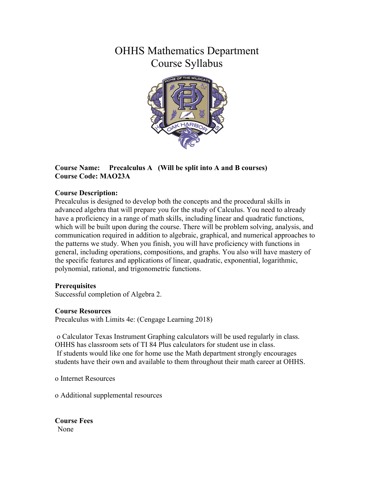# OHHS Mathematics Department Course Syllabus



# **Course Name: Precalculus A (Will be split into A and B courses) Course Code: MAO23A**

# **Course Description:**

Precalculus is designed to develop both the concepts and the procedural skills in advanced algebra that will prepare you for the study of Calculus. You need to already have a proficiency in a range of math skills, including linear and quadratic functions, which will be built upon during the course. There will be problem solving, analysis, and communication required in addition to algebraic, graphical, and numerical approaches to the patterns we study. When you finish, you will have proficiency with functions in general, including operations, compositions, and graphs. You also will have mastery of the specific features and applications of linear, quadratic, exponential, logarithmic, polynomial, rational, and trigonometric functions.

## **Prerequisites**

Successful completion of Algebra 2.

## **Course Resources**

Precalculus with Limits 4e: (Cengage Learning 2018)

o Calculator Texas Instrument Graphing calculators will be used regularly in class. OHHS has classroom sets of TI 84 Plus calculators for student use in class. If students would like one for home use the Math department strongly encourages students have their own and available to them throughout their math career at OHHS.

o Internet Resources

o Additional supplemental resources

**Course Fees** None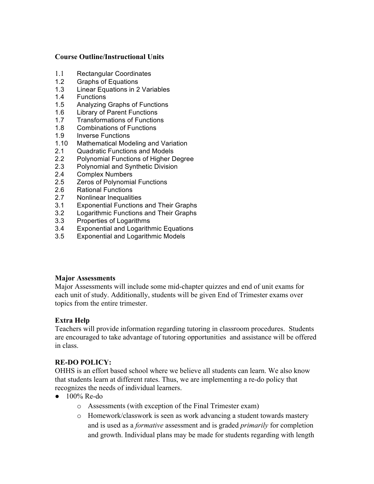## **Course Outline/Instructional Units**

- 1.1 Rectangular Coordinates
- 1.2 Graphs of Equations
- 1.3 Linear Equations in 2 Variables
- 1.4 Functions
- 1.5 Analyzing Graphs of Functions
- 1.6 Library of Parent Functions
- 1.7 Transformations of Functions
- 1.8 Combinations of Functions
- 1.9 Inverse Functions
- 1.10 Mathematical Modeling and Variation
- 2.1 Quadratic Functions and Models
- 2.2 Polynomial Functions of Higher Degree
- 2.3 Polynomial and Synthetic Division
- 2.4 Complex Numbers
- 2.5 Zeros of Polynomial Functions
- 2.6 Rational Functions
- 2.7 Nonlinear Inequalities
- 3.1 Exponential Functions and Their Graphs
- 3.2 Logarithmic Functions and Their Graphs
- 3.3 Properties of Logarithms
- 3.4 Exponential and Logarithmic Equations
- 3.5 Exponential and Logarithmic Models

#### **Major Assessments**

Major Assessments will include some mid-chapter quizzes and end of unit exams for each unit of study. Additionally, students will be given End of Trimester exams over topics from the entire trimester.

## **Extra Help**

Teachers will provide information regarding tutoring in classroom procedures. Students are encouraged to take advantage of tutoring opportunities and assistance will be offered in class.

## **RE-DO POLICY:**

OHHS is an effort based school where we believe all students can learn. We also know that students learn at different rates. Thus, we are implementing a re-do policy that recognizes the needs of individual learners.

- 100% Re-do
	- o Assessments (with exception of the Final Trimester exam)
	- o Homework/classwork is seen as work advancing a student towards mastery and is used as a *formative* assessment and is graded *primarily* for completion and growth. Individual plans may be made for students regarding with length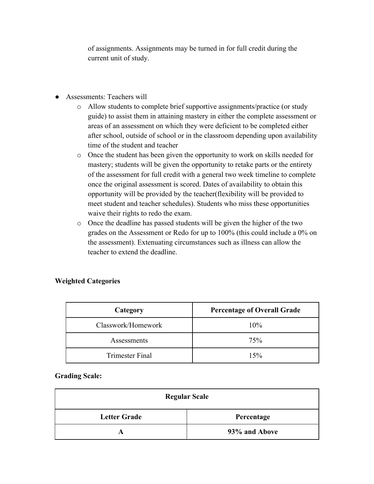of assignments. Assignments may be turned in for full credit during the current unit of study.

- Assessments: Teachers will
	- o Allow students to complete brief supportive assignments/practice (or study guide) to assist them in attaining mastery in either the complete assessment or areas of an assessment on which they were deficient to be completed either after school, outside of school or in the classroom depending upon availability time of the student and teacher
	- o Once the student has been given the opportunity to work on skills needed for mastery; students will be given the opportunity to retake parts or the entirety of the assessment for full credit with a general two week timeline to complete once the original assessment is scored. Dates of availability to obtain this opportunity will be provided by the teacher(flexibility will be provided to meet student and teacher schedules). Students who miss these opportunities waive their rights to redo the exam.
	- o Once the deadline has passed students will be given the higher of the two grades on the Assessment or Redo for up to 100% (this could include a 0% on the assessment). Extenuating circumstances such as illness can allow the teacher to extend the deadline.

| Category               | <b>Percentage of Overall Grade</b> |
|------------------------|------------------------------------|
| Classwork/Homework     | 10%                                |
| Assessments            | 75%                                |
| <b>Trimester Final</b> | 15%                                |

## **Weighted Categories**

#### **Grading Scale:**

| <b>Regular Scale</b> |               |  |
|----------------------|---------------|--|
| <b>Letter Grade</b>  | Percentage    |  |
|                      | 93% and Above |  |